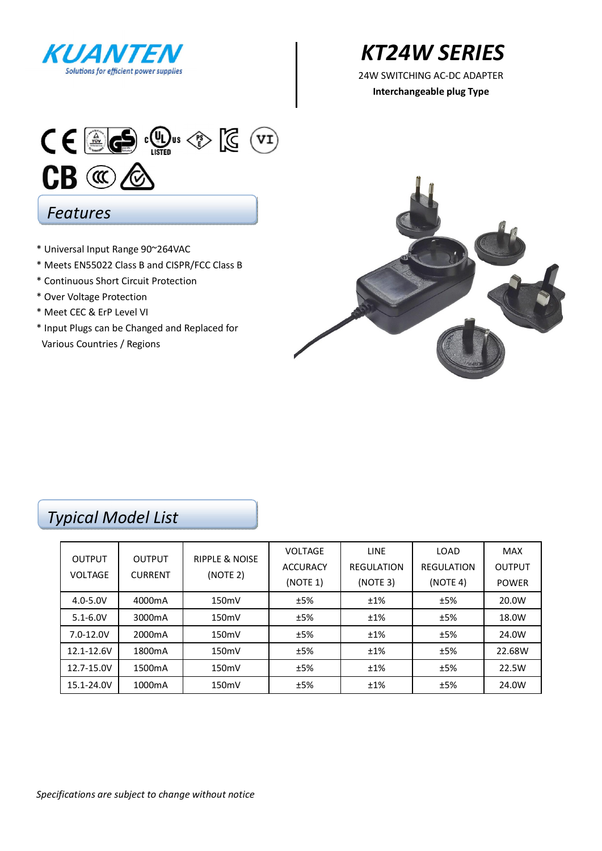

# *KT24W SERIES*

**Interchangeable plug Type** 



### *Features*

- \* Universal Input Range 90~264VAC
- \* Meets EN55022 Class B and CISPR/FCC Class B
- \* Continuous Short Circuit Protection
- \* Over Voltage Protection
- \* Meet CEC & ErP Level VI
- \* Input Plugs can be Changed and Replaced for Various Countries / Regions



### *Typical Model List*

| <b>OUTPUT</b><br><b>VOLTAGE</b> | <b>OUTPUT</b><br><b>CURRENT</b> | <b>RIPPLE &amp; NOISE</b><br>(NOTE 2) | <b>VOLTAGE</b>  | LINE              | LOAD              | <b>MAX</b>    |
|---------------------------------|---------------------------------|---------------------------------------|-----------------|-------------------|-------------------|---------------|
|                                 |                                 |                                       | <b>ACCURACY</b> | <b>REGULATION</b> | <b>REGULATION</b> | <b>OUTPUT</b> |
|                                 |                                 |                                       | (NOTE 1)        | (NOTE 3)          | (NOTE 4)          | <b>POWER</b>  |
| $4.0 - 5.0V$                    | 4000mA                          | 150mV                                 | ±5%             | ±1%               | ±5%               | 20.0W         |
| $5.1 - 6.0V$                    | 3000mA                          | 150mV                                 | ±5%             | ±1%               | ±5%               | 18.0W         |
| 7.0-12.0V                       | 2000 <sub>m</sub> A             | 150mV                                 | ±5%             | ±1%               | ±5%               | 24.0W         |
| 12.1-12.6V                      | 1800 <sub>m</sub> A             | 150mV                                 | ±5%             | ±1%               | ±5%               | 22.68W        |
| 12.7-15.0V                      | 1500 <sub>m</sub> A             | 150mV                                 | ±5%             | ±1%               | ±5%               | 22.5W         |
| 15.1-24.0V                      | 1000mA                          | 150mV                                 | ±5%             | ±1%               | ±5%               | 24.0W         |